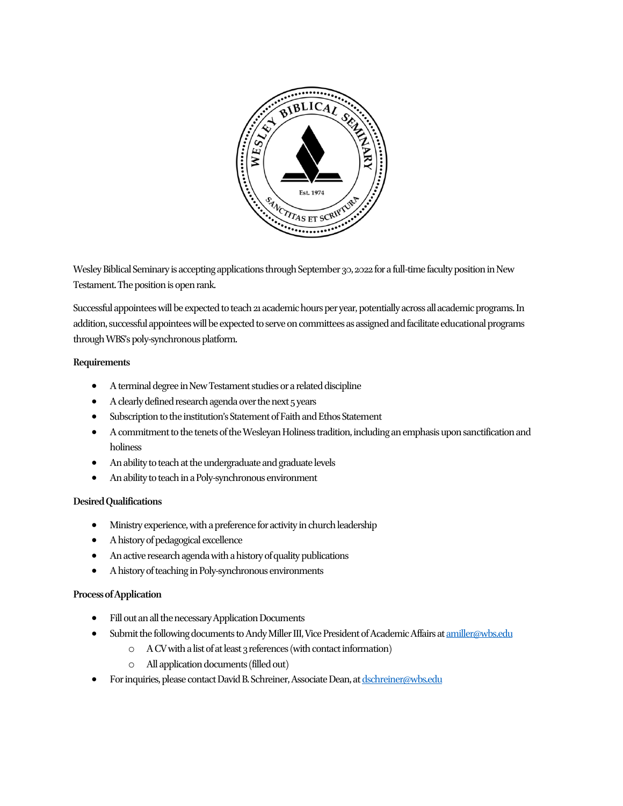

Wesley Biblical Seminary is accepting applications through September 30, 2022 for a full-time faculty position in New Testament. The position is open rank.

Successful appointees will be expected to teach 21 academic hours per year, potentially across all academic programs. In addition, successful appointees will be expected to serve on committees as assigned and facilitate educational programs through WBS's poly-synchronous platform.

## **Requirements**

- A terminal degree in New Testament studies or a related discipline
- A clearly defined research agenda over the next 5 years
- Subscription to the institution's Statement of Faith and Ethos Statement
- A commitment to the tenets of the Wesleyan Holiness tradition, including an emphasis upon sanctification and holiness
- An ability to teach at the undergraduate and graduate levels
- An ability to teach in a Poly-synchronous environment

## **Desired Qualifications**

- Ministry experience, with a preference for activity in church leadership
- A history of pedagogical excellence
- An active research agenda with a history of quality publications
- A history of teaching in Poly-synchronous environments

## **Process of Application**

- Fill out an all the necessary Application Documents
- Submit the following documents to Andy Miller III, Vice President of Academic Affairs a[t amiller@wbs.edu](mailto:amiller@wbs.edu)
	- o A CV with a list of at least 3 references (with contact information)
	- o All application documents (filledout)
- For inquiries, please contact David B. Schreiner, Associate Dean, a[t dschreiner@wbs.edu](mailto:dschreiner@wbs.edu)